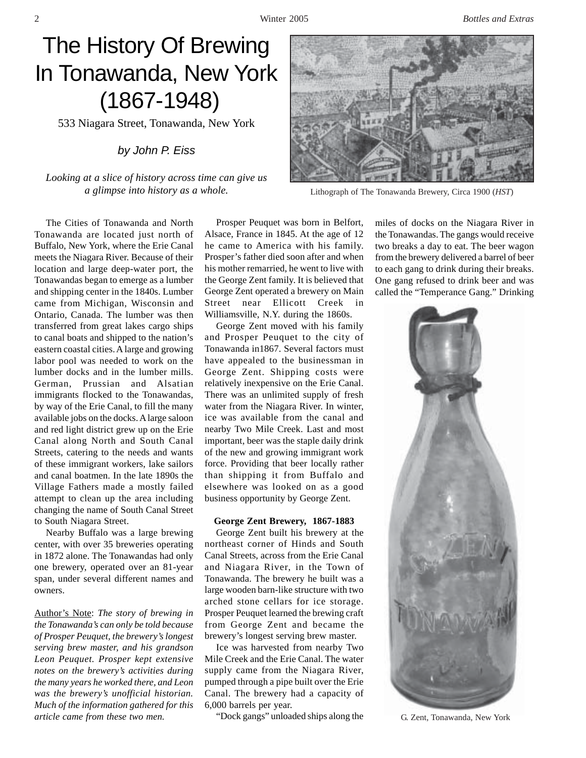2 Winter 2005 *Bottles and Extras*

# The History Of Brewing In Tonawanda, New York (1867-1948)

533 Niagara Street, Tonawanda, New York

## *by John P. Eiss*

*Looking at a slice of history across time can give us a glimpse into history as a whole.* Lithograph of The Tonawanda Brewery, Circa 1900 (*HST*)

The Cities of Tonawanda and North Tonawanda are located just north of Buffalo, New York, where the Erie Canal meets the Niagara River. Because of their location and large deep-water port, the Tonawandas began to emerge as a lumber and shipping center in the 1840s. Lumber came from Michigan, Wisconsin and Ontario, Canada. The lumber was then transferred from great lakes cargo ships to canal boats and shipped to the nation's eastern coastal cities. A large and growing labor pool was needed to work on the lumber docks and in the lumber mills. German, Prussian and Alsatian immigrants flocked to the Tonawandas, by way of the Erie Canal, to fill the many available jobs on the docks. A large saloon and red light district grew up on the Erie Canal along North and South Canal Streets, catering to the needs and wants of these immigrant workers, lake sailors and canal boatmen. In the late 1890s the Village Fathers made a mostly failed attempt to clean up the area including changing the name of South Canal Street to South Niagara Street.

Nearby Buffalo was a large brewing center, with over 35 breweries operating in 1872 alone. The Tonawandas had only one brewery, operated over an 81-year span, under several different names and owners.

Author's Note: *The story of brewing in the Tonawanda's can only be told because of Prosper Peuquet, the brewery's longest serving brew master, and his grandson Leon Peuquet. Prosper kept extensive notes on the brewery's activities during the many years he worked there, and Leon was the brewery's unofficial historian. Much of the information gathered for this article came from these two men.*

Prosper Peuquet was born in Belfort, Alsace, France in 1845. At the age of 12 he came to America with his family. Prosper's father died soon after and when his mother remarried, he went to live with the George Zent family. It is believed that George Zent operated a brewery on Main Street near Ellicott Creek in Williamsville, N.Y. during the 1860s.

George Zent moved with his family and Prosper Peuquet to the city of Tonawanda in1867. Several factors must have appealed to the businessman in George Zent. Shipping costs were relatively inexpensive on the Erie Canal. There was an unlimited supply of fresh water from the Niagara River. In winter, ice was available from the canal and nearby Two Mile Creek. Last and most important, beer was the staple daily drink of the new and growing immigrant work force. Providing that beer locally rather than shipping it from Buffalo and elsewhere was looked on as a good business opportunity by George Zent.

## **George Zent Brewery, 1867-1883**

George Zent built his brewery at the northeast corner of Hinds and South Canal Streets, across from the Erie Canal and Niagara River, in the Town of Tonawanda. The brewery he built was a large wooden barn-like structure with two arched stone cellars for ice storage. Prosper Peuquet learned the brewing craft from George Zent and became the brewery's longest serving brew master.

Ice was harvested from nearby Two Mile Creek and the Erie Canal. The water supply came from the Niagara River, pumped through a pipe built over the Erie Canal. The brewery had a capacity of 6,000 barrels per year.

"Dock gangs" unloaded ships along the G. Zent, Tonawanda, New York



miles of docks on the Niagara River in the Tonawandas. The gangs would receive two breaks a day to eat. The beer wagon from the brewery delivered a barrel of beer to each gang to drink during their breaks. One gang refused to drink beer and was called the "Temperance Gang." Drinking

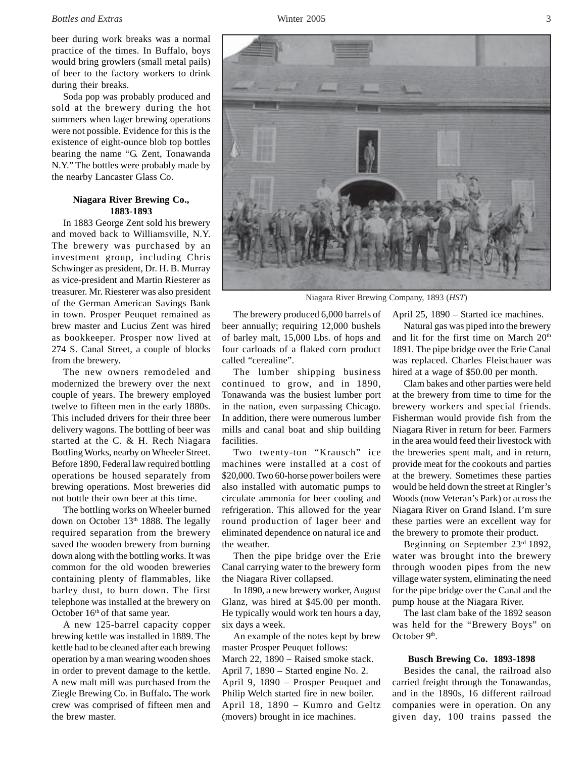#### *Bottles and Extras* Winter 2005 3

beer during work breaks was a normal practice of the times. In Buffalo, boys would bring growlers (small metal pails) of beer to the factory workers to drink during their breaks.

Soda pop was probably produced and sold at the brewery during the hot summers when lager brewing operations were not possible. Evidence for this is the existence of eight-ounce blob top bottles bearing the name "G. Zent, Tonawanda N.Y." The bottles were probably made by the nearby Lancaster Glass Co.

## **Niagara River Brewing Co., 1883-1893**

In 1883 George Zent sold his brewery and moved back to Williamsville, N.Y. The brewery was purchased by an investment group, including Chris Schwinger as president, Dr. H. B. Murray as vice-president and Martin Riesterer as treasurer. Mr. Riesterer was also president of the German American Savings Bank in town. Prosper Peuquet remained as brew master and Lucius Zent was hired as bookkeeper. Prosper now lived at 274 S. Canal Street, a couple of blocks from the brewery.

The new owners remodeled and modernized the brewery over the next couple of years. The brewery employed twelve to fifteen men in the early 1880s. This included drivers for their three beer delivery wagons. The bottling of beer was started at the C. & H. Rech Niagara Bottling Works, nearby on Wheeler Street. Before 1890, Federal law required bottling operations be housed separately from brewing operations. Most breweries did not bottle their own beer at this time.

The bottling works on Wheeler burned down on October 13<sup>th</sup> 1888. The legally required separation from the brewery saved the wooden brewery from burning down along with the bottling works. It was common for the old wooden breweries containing plenty of flammables, like barley dust, to burn down. The first telephone was installed at the brewery on October 16<sup>th</sup> of that same year.

A new 125-barrel capacity copper brewing kettle was installed in 1889. The kettle had to be cleaned after each brewing operation by a man wearing wooden shoes in order to prevent damage to the kettle. A new malt mill was purchased from the Ziegle Brewing Co. in Buffalo**.** The work crew was comprised of fifteen men and the brew master.



Niagara River Brewing Company, 1893 (*HST*)

The brewery produced 6,000 barrels of beer annually; requiring 12,000 bushels of barley malt, 15,000 Lbs. of hops and four carloads of a flaked corn product called "cerealine".

The lumber shipping business continued to grow, and in 1890, Tonawanda was the busiest lumber port in the nation, even surpassing Chicago. In addition, there were numerous lumber mills and canal boat and ship building facilities.

Two twenty-ton "Krausch" ice machines were installed at a cost of \$20,000. Two 60-horse power boilers were also installed with automatic pumps to circulate ammonia for beer cooling and refrigeration. This allowed for the year round production of lager beer and eliminated dependence on natural ice and the weather.

Then the pipe bridge over the Erie Canal carrying water to the brewery form the Niagara River collapsed.

In 1890, a new brewery worker, August Glanz, was hired at \$45.00 per month. He typically would work ten hours a day, six days a week.

An example of the notes kept by brew master Prosper Peuquet follows: March 22, 1890 – Raised smoke stack. April 7, 1890 – Started engine No. 2. April 9, 1890 – Prosper Peuquet and Philip Welch started fire in new boiler. April 18, 1890 – Kumro and Geltz (movers) brought in ice machines.

April 25, 1890 – Started ice machines.

Natural gas was piped into the brewery and lit for the first time on March 20<sup>th</sup> 1891. The pipe bridge over the Erie Canal was replaced. Charles Fleischauer was hired at a wage of \$50.00 per month.

Clam bakes and other parties were held at the brewery from time to time for the brewery workers and special friends. Fisherman would provide fish from the Niagara River in return for beer. Farmers in the area would feed their livestock with the breweries spent malt, and in return, provide meat for the cookouts and parties at the brewery. Sometimes these parties would be held down the street at Ringler's Woods (now Veteran's Park) or across the Niagara River on Grand Island. I'm sure these parties were an excellent way for the brewery to promote their product.

Beginning on September 23rd 1892, water was brought into the brewery through wooden pipes from the new village water system, eliminating the need for the pipe bridge over the Canal and the pump house at the Niagara River.

The last clam bake of the 1892 season was held for the "Brewery Boys" on October 9<sup>th</sup>.

#### **Busch Brewing Co. 1893-1898**

Besides the canal, the railroad also carried freight through the Tonawandas, and in the 1890s, 16 different railroad companies were in operation. On any given day, 100 trains passed the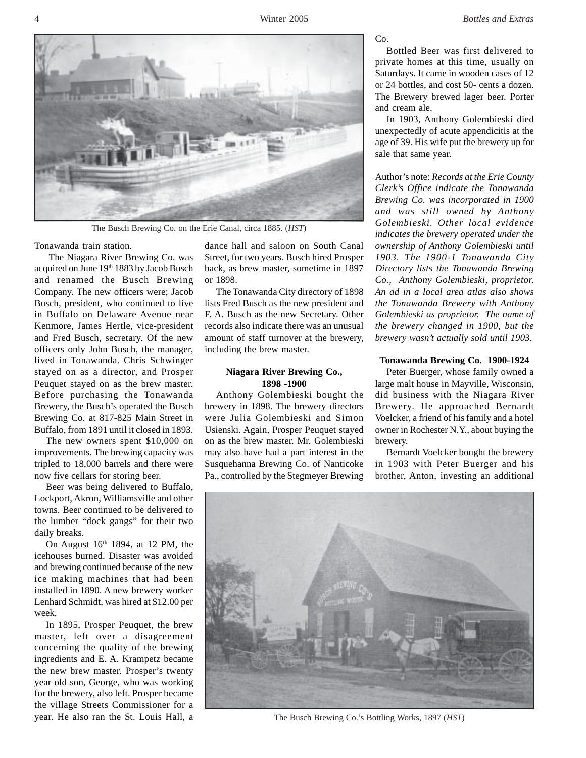

The Busch Brewing Co. on the Erie Canal, circa 1885. (*HST*)

Tonawanda train station.

 The Niagara River Brewing Co. was acquired on June 19th 1883 by Jacob Busch and renamed the Busch Brewing Company. The new officers were; Jacob Busch, president, who continued to live in Buffalo on Delaware Avenue near Kenmore, James Hertle, vice-president and Fred Busch, secretary. Of the new officers only John Busch, the manager, lived in Tonawanda. Chris Schwinger stayed on as a director, and Prosper Peuquet stayed on as the brew master. Before purchasing the Tonawanda Brewery, the Busch's operated the Busch Brewing Co. at 817-825 Main Street in Buffalo, from 1891 until it closed in 1893.

The new owners spent \$10,000 on improvements. The brewing capacity was tripled to 18,000 barrels and there were now five cellars for storing beer.

Beer was being delivered to Buffalo, Lockport, Akron, Williamsville and other towns. Beer continued to be delivered to the lumber "dock gangs" for their two daily breaks.

On August  $16<sup>th</sup> 1894$ , at 12 PM, the icehouses burned. Disaster was avoided and brewing continued because of the new ice making machines that had been installed in 1890. A new brewery worker Lenhard Schmidt, was hired at \$12.00 per week.

In 1895, Prosper Peuquet, the brew master, left over a disagreement concerning the quality of the brewing ingredients and E. A. Krampetz became the new brew master. Prosper's twenty year old son, George, who was working for the brewery, also left. Prosper became the village Streets Commissioner for a year. He also ran the St. Louis Hall, a

dance hall and saloon on South Canal Street, for two years. Busch hired Prosper back, as brew master, sometime in 1897 or 1898.

The Tonawanda City directory of 1898 lists Fred Busch as the new president and F. A. Busch as the new Secretary. Other records also indicate there was an unusual amount of staff turnover at the brewery, including the brew master.

## **Niagara River Brewing Co., 1898 -1900**

Anthony Golembieski bought the brewery in 1898. The brewery directors were Julia Golembieski and Simon Usienski. Again, Prosper Peuquet stayed on as the brew master. Mr. Golembieski may also have had a part interest in the Susquehanna Brewing Co. of Nanticoke Pa., controlled by the Stegmeyer Brewing Co.

Bottled Beer was first delivered to private homes at this time, usually on Saturdays. It came in wooden cases of 12 or 24 bottles, and cost 50- cents a dozen. The Brewery brewed lager beer. Porter and cream ale.

In 1903, Anthony Golembieski died unexpectedly of acute appendicitis at the age of 39. His wife put the brewery up for sale that same year.

Author's note: *Records at the Erie County Clerk's Office indicate the Tonawanda Brewing Co. was incorporated in 1900 and was still owned by Anthony Golembieski. Other local evidence indicates the brewery operated under the ownership of Anthony Golembieski until 1903. The 1900-1 Tonawanda City Directory lists the Tonawanda Brewing Co., Anthony Golembieski, proprietor. An ad in a local area atlas also shows the Tonawanda Brewery with Anthony Golembieski as proprietor. The name of the brewery changed in 1900, but the brewery wasn't actually sold until 1903.*

#### **Tonawanda Brewing Co. 1900-1924**

Peter Buerger, whose family owned a large malt house in Mayville, Wisconsin, did business with the Niagara River Brewery. He approached Bernardt Voelcker, a friend of his family and a hotel owner in Rochester N.Y., about buying the brewery.

Bernardt Voelcker bought the brewery in 1903 with Peter Buerger and his brother, Anton, investing an additional



The Busch Brewing Co.'s Bottling Works, 1897 (*HST*)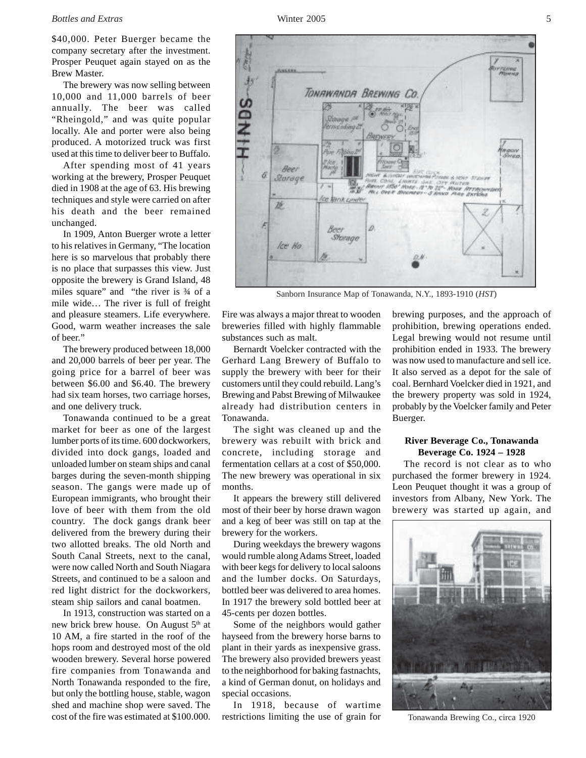#### *Bottles and Extras* Winter 2005 5

\$40,000. Peter Buerger became the company secretary after the investment. Prosper Peuquet again stayed on as the Brew Master.

The brewery was now selling between 10,000 and 11,000 barrels of beer annually. The beer was called "Rheingold," and was quite popular locally. Ale and porter were also being produced. A motorized truck was first used at this time to deliver beer to Buffalo.

After spending most of 41 years working at the brewery, Prosper Peuquet died in 1908 at the age of 63. His brewing techniques and style were carried on after his death and the beer remained unchanged.

In 1909, Anton Buerger wrote a letter to his relatives in Germany, "The location here is so marvelous that probably there is no place that surpasses this view. Just opposite the brewery is Grand Island, 48 miles square" and "the river is ¾ of a mile wide… The river is full of freight and pleasure steamers. Life everywhere. Good, warm weather increases the sale of beer."

The brewery produced between 18,000 and 20,000 barrels of beer per year. The going price for a barrel of beer was between \$6.00 and \$6.40. The brewery had six team horses, two carriage horses, and one delivery truck.

Tonawanda continued to be a great market for beer as one of the largest lumber ports of its time. 600 dockworkers, divided into dock gangs, loaded and unloaded lumber on steam ships and canal barges during the seven-month shipping season. The gangs were made up of European immigrants, who brought their love of beer with them from the old country. The dock gangs drank beer delivered from the brewery during their two allotted breaks. The old North and South Canal Streets, next to the canal, were now called North and South Niagara Streets, and continued to be a saloon and red light district for the dockworkers, steam ship sailors and canal boatmen.

In 1913, construction was started on a new brick brew house. On August 5<sup>th</sup> at 10 AM, a fire started in the roof of the hops room and destroyed most of the old wooden brewery. Several horse powered fire companies from Tonawanda and North Tonawanda responded to the fire, but only the bottling house, stable, wagon shed and machine shop were saved. The cost of the fire was estimated at \$100.000. Fire was always a major threat to wooden breweries filled with highly flammable substances such as malt.

Bernardt Voelcker contracted with the Gerhard Lang Brewery of Buffalo to supply the brewery with beer for their customers until they could rebuild. Lang's Brewing and Pabst Brewing of Milwaukee already had distribution centers in Tonawanda.

The sight was cleaned up and the brewery was rebuilt with brick and concrete, including storage and fermentation cellars at a cost of \$50,000. The new brewery was operational in six months.

It appears the brewery still delivered most of their beer by horse drawn wagon and a keg of beer was still on tap at the brewery for the workers.

During weekdays the brewery wagons would rumble along Adams Street, loaded with beer kegs for delivery to local saloons and the lumber docks. On Saturdays, bottled beer was delivered to area homes. In 1917 the brewery sold bottled beer at 45-cents per dozen bottles.

Some of the neighbors would gather hayseed from the brewery horse barns to plant in their yards as inexpensive grass. The brewery also provided brewers yeast to the neighborhood for baking fastnachts, a kind of German donut, on holidays and special occasions.

In 1918, because of wartime restrictions limiting the use of grain for brewing purposes, and the approach of prohibition, brewing operations ended. Legal brewing would not resume until prohibition ended in 1933. The brewery was now used to manufacture and sell ice. It also served as a depot for the sale of coal. Bernhard Voelcker died in 1921, and the brewery property was sold in 1924, probably by the Voelcker family and Peter Buerger.

## **River Beverage Co., Tonawanda Beverage Co. 1924 – 1928**

The record is not clear as to who purchased the former brewery in 1924. Leon Peuquet thought it was a group of investors from Albany, New York. The brewery was started up again, and

Tonawanda Brewing Co., circa 1920



TONAWANDA BREWING CO **YAKE Informa** Bee) ā. Starage **MANY** for fank come  $\vec{D}$ Ø Storage Ice Ho

Sanborn Insurance Map of Tonawanda, N.Y., 1893-1910 (*HST*)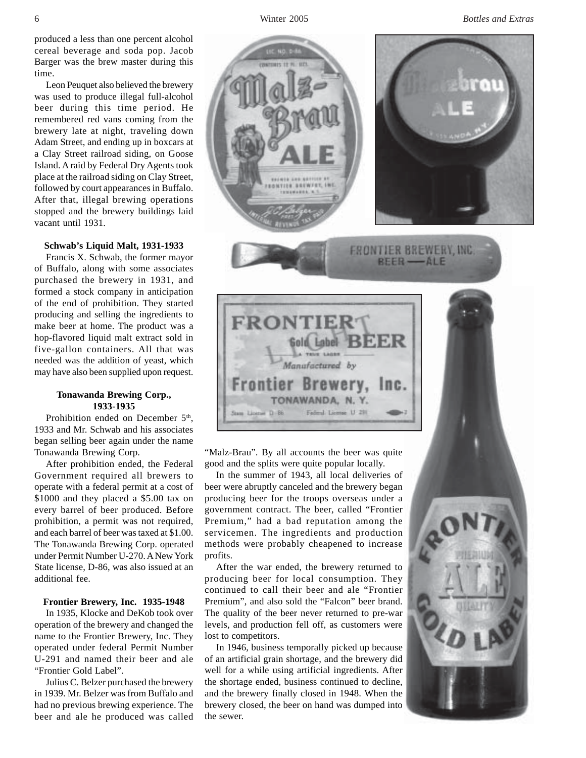6 Winter 2005 *Bottles and Extras*

produced a less than one percent alcohol cereal beverage and soda pop. Jacob Barger was the brew master during this time.

Leon Peuquet also believed the brewery was used to produce illegal full-alcohol beer during this time period. He remembered red vans coming from the brewery late at night, traveling down Adam Street, and ending up in boxcars at a Clay Street railroad siding, on Goose Island. A raid by Federal Dry Agents took place at the railroad siding on Clay Street, followed by court appearances in Buffalo. After that, illegal brewing operations stopped and the brewery buildings laid vacant until 1931.

#### **Schwab's Liquid Malt, 1931-1933**

Francis X. Schwab, the former mayor of Buffalo, along with some associates purchased the brewery in 1931, and formed a stock company in anticipation of the end of prohibition. They started producing and selling the ingredients to make beer at home. The product was a hop-flavored liquid malt extract sold in five-gallon containers. All that was needed was the addition of yeast, which may have also been supplied upon request.

## **Tonawanda Brewing Corp., 1933-1935**

Prohibition ended on December 5<sup>th</sup>, 1933 and Mr. Schwab and his associates began selling beer again under the name Tonawanda Brewing Corp.

After prohibition ended, the Federal Government required all brewers to operate with a federal permit at a cost of \$1000 and they placed a \$5.00 tax on every barrel of beer produced. Before prohibition, a permit was not required, and each barrel of beer was taxed at \$1.00. The Tonawanda Brewing Corp. operated under Permit Number U-270. A New York State license, D-86, was also issued at an additional fee.

## **Frontier Brewery, Inc. 1935-1948**

In 1935, Klocke and DeKob took over operation of the brewery and changed the name to the Frontier Brewery, Inc. They operated under federal Permit Number U-291 and named their beer and ale "Frontier Gold Label".

Julius C. Belzer purchased the brewery in 1939. Mr. Belzer was from Buffalo and had no previous brewing experience. The beer and ale he produced was called



"Malz-Brau". By all accounts the beer was quite good and the splits were quite popular locally.

In the summer of 1943, all local deliveries of beer were abruptly canceled and the brewery began producing beer for the troops overseas under a government contract. The beer, called "Frontier Premium," had a bad reputation among the servicemen. The ingredients and production methods were probably cheapened to increase profits.

After the war ended, the brewery returned to producing beer for local consumption. They continued to call their beer and ale "Frontier Premium", and also sold the "Falcon" beer brand. The quality of the beer never returned to pre-war levels, and production fell off, as customers were lost to competitors.

In 1946, business temporally picked up because of an artificial grain shortage, and the brewery did well for a while using artificial ingredients. After the shortage ended, business continued to decline, and the brewery finally closed in 1948. When the brewery closed, the beer on hand was dumped into the sewer.